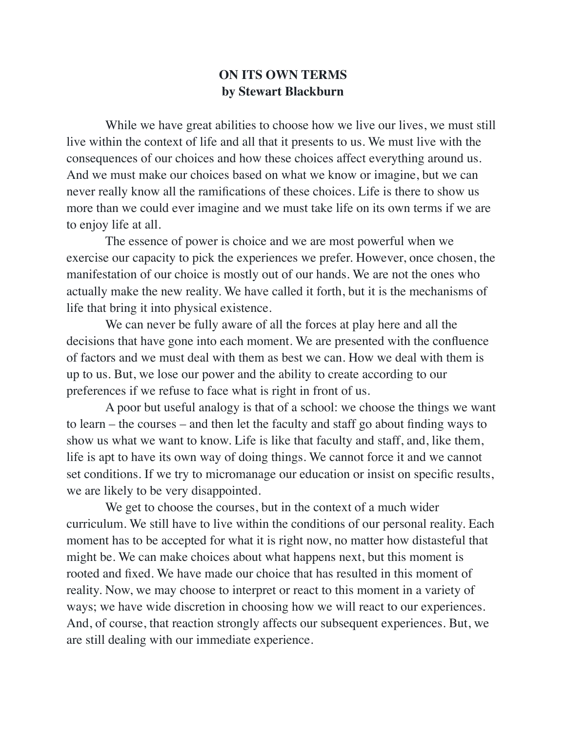## **ON ITS OWN TERMS by Stewart Blackburn**

While we have great abilities to choose how we live our lives, we must still live within the context of life and all that it presents to us. We must live with the consequences of our choices and how these choices affect everything around us. And we must make our choices based on what we know or imagine, but we can never really know all the ramifications of these choices. Life is there to show us more than we could ever imagine and we must take life on its own terms if we are to enjoy life at all.

 The essence of power is choice and we are most powerful when we exercise our capacity to pick the experiences we prefer. However, once chosen, the manifestation of our choice is mostly out of our hands. We are not the ones who actually make the new reality. We have called it forth, but it is the mechanisms of life that bring it into physical existence.

 We can never be fully aware of all the forces at play here and all the decisions that have gone into each moment. We are presented with the confluence of factors and we must deal with them as best we can. How we deal with them is up to us. But, we lose our power and the ability to create according to our preferences if we refuse to face what is right in front of us.

 A poor but useful analogy is that of a school: we choose the things we want to learn – the courses – and then let the faculty and staff go about finding ways to show us what we want to know. Life is like that faculty and staff, and, like them, life is apt to have its own way of doing things. We cannot force it and we cannot set conditions. If we try to micromanage our education or insist on specific results, we are likely to be very disappointed.

 We get to choose the courses, but in the context of a much wider curriculum. We still have to live within the conditions of our personal reality. Each moment has to be accepted for what it is right now, no matter how distasteful that might be. We can make choices about what happens next, but this moment is rooted and fixed. We have made our choice that has resulted in this moment of reality. Now, we may choose to interpret or react to this moment in a variety of ways; we have wide discretion in choosing how we will react to our experiences. And, of course, that reaction strongly affects our subsequent experiences. But, we are still dealing with our immediate experience.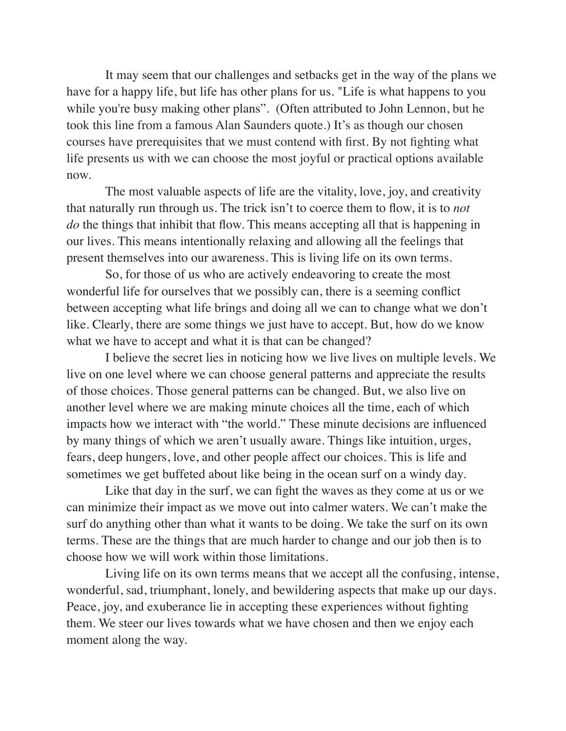It may seem that our challenges and setbacks get in the way of the plans we have for a happy life, but life has other plans for us. "Life is what happens to you while you're busy making other plans". (Often attributed to John Lennon, but he took this line from a famous Alan Saunders quote.) It's as though our chosen courses have prerequisites that we must contend with first. By not fighting what life presents us with we can choose the most joyful or practical options available now.

 The most valuable aspects of life are the vitality, love, joy, and creativity that naturally run through us. The trick isn't to coerce them to flow, it is to *not do* the things that inhibit that flow. This means accepting all that is happening in our lives. This means intentionally relaxing and allowing all the feelings that present themselves into our awareness. This is living life on its own terms.

 So, for those of us who are actively endeavoring to create the most wonderful life for ourselves that we possibly can, there is a seeming conflict between accepting what life brings and doing all we can to change what we don't like. Clearly, there are some things we just have to accept. But, how do we know what we have to accept and what it is that can be changed?

 I believe the secret lies in noticing how we live lives on multiple levels. We live on one level where we can choose general patterns and appreciate the results of those choices. Those general patterns can be changed. But, we also live on another level where we are making minute choices all the time, each of which impacts how we interact with "the world." These minute decisions are influenced by many things of which we aren't usually aware. Things like intuition, urges, fears, deep hungers, love, and other people affect our choices. This is life and sometimes we get buffeted about like being in the ocean surf on a windy day.

 Like that day in the surf, we can fight the waves as they come at us or we can minimize their impact as we move out into calmer waters. We can't make the surf do anything other than what it wants to be doing. We take the surf on its own terms. These are the things that are much harder to change and our job then is to choose how we will work within those limitations.

 Living life on its own terms means that we accept all the confusing, intense, wonderful, sad, triumphant, lonely, and bewildering aspects that make up our days. Peace, joy, and exuberance lie in accepting these experiences without fighting them. We steer our lives towards what we have chosen and then we enjoy each moment along the way.